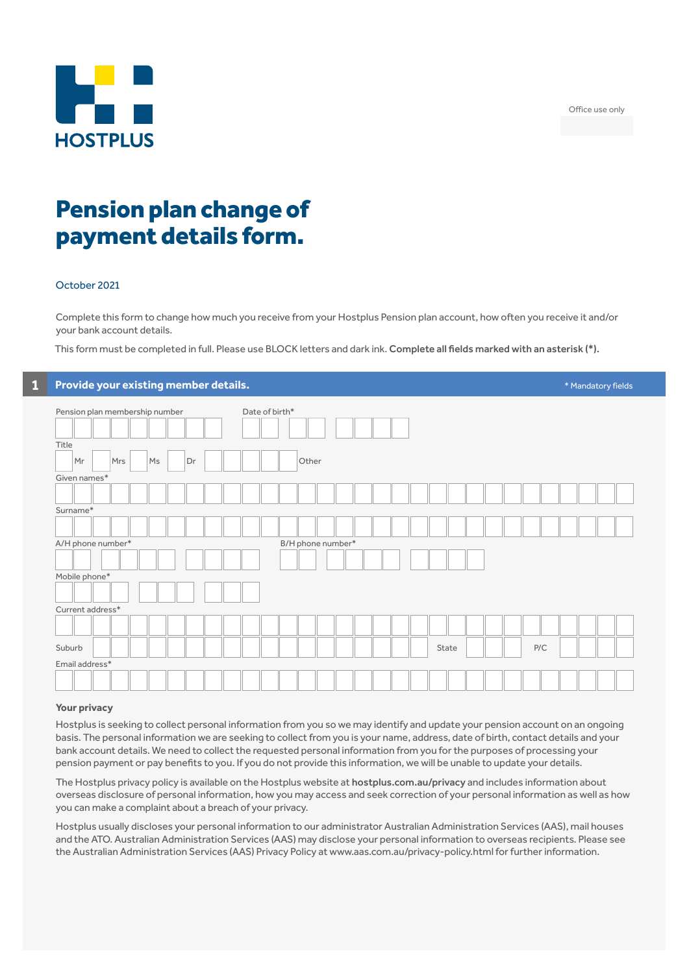Office use only



## Pension plan change of payment details form.

#### October 2021

Complete this form to change how much you receive from your Hostplus Pension plan account, how often you receive it and/or your bank account details.

This form must be completed in full. Please use BLOCK letters and dark ink. Complete all fields marked with an asterisk (\*).

| Provide your existing member details. |                   | * Mandatory fields |
|---------------------------------------|-------------------|--------------------|
| Pension plan membership number        | Date of birth*    |                    |
| Title                                 |                   |                    |
| Mr<br>Mrs<br>Ms<br>Dr                 | Other             |                    |
| Given names*                          |                   |                    |
|                                       |                   |                    |
| Surname*                              |                   |                    |
|                                       |                   |                    |
| A/H phone number*                     | B/H phone number* |                    |
|                                       |                   |                    |
| Mobile phone*                         |                   |                    |
|                                       |                   |                    |
| Current address*                      |                   |                    |
|                                       |                   |                    |
|                                       |                   |                    |
| Suburb                                | P/C<br>State      |                    |
| Email address*                        |                   |                    |
|                                       |                   |                    |
|                                       |                   |                    |

#### **Your privacy**

Hostplus is seeking to collect personal information from you so we may identify and update your pension account on an ongoing basis. The personal information we are seeking to collect from you is your name, address, date of birth, contact details and your bank account details. We need to collect the requested personal information from you for the purposes of processing your pension payment or pay benefits to you. If you do not provide this information, we will be unable to update your details.

The Hostplus privacy policy is available on the Hostplus website at hostplus.com.au/privacy and includes information about overseas disclosure of personal information, how you may access and seek correction of your personal information as well as how you can make a complaint about a breach of your privacy.

Hostplus usually discloses your personal information to our administrator Australian Administration Services (AAS), mail houses and the ATO. Australian Administration Services (AAS) may disclose your personal information to overseas recipients. Please see the Australian Administration Services (AAS) Privacy Policy at www.aas.com.au/privacy-policy.html for further information.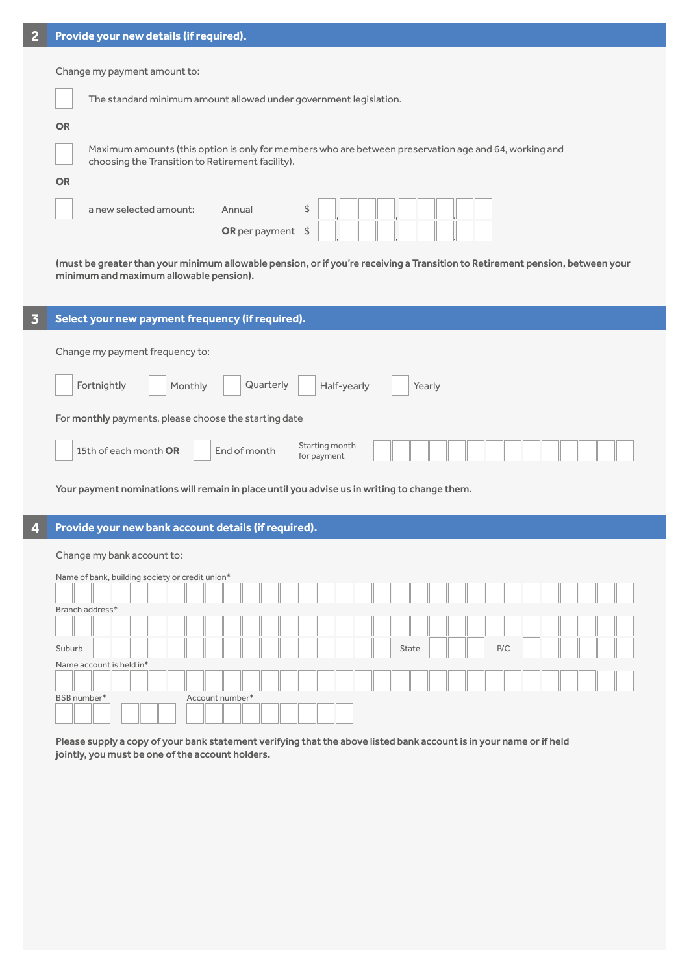| 2 |                              | Provide your new details (if required).          |                                                                                                                               |  |
|---|------------------------------|--------------------------------------------------|-------------------------------------------------------------------------------------------------------------------------------|--|
|   | Change my payment amount to: |                                                  |                                                                                                                               |  |
|   |                              |                                                  | The standard minimum amount allowed under government legislation.                                                             |  |
|   | <b>OR</b>                    |                                                  |                                                                                                                               |  |
|   |                              | choosing the Transition to Retirement facility). | Maximum amounts (this option is only for members who are between preservation age and 64, working and                         |  |
|   | <b>OR</b>                    |                                                  |                                                                                                                               |  |
|   |                              | a new selected amount:                           | \$<br>Annual<br>OR per payment $$$                                                                                            |  |
|   |                              | minimum and maximum allowable pension).          | (must be greater than your minimum allowable pension, or if you're receiving a Transition to Retirement pension, between your |  |

| 3 | Select your new payment frequency (if required).                       |  |  |
|---|------------------------------------------------------------------------|--|--|
|   | Change my payment frequency to:                                        |  |  |
|   | Quarterly<br>Fortnightly<br>Half-yearly<br>Monthly<br>Yearly           |  |  |
|   | For monthly payments, please choose the starting date                  |  |  |
|   | Starting month<br>15th of each month OR<br>End of month<br>for payment |  |  |

Your payment nominations will remain in place until you advise us in writing to change them.

### **4 Provide your new bank account details (if required).**

| Change my bank account to:                      |                 |  |  |  |  |  |
|-------------------------------------------------|-----------------|--|--|--|--|--|
| Name of bank, building society or credit union* |                 |  |  |  |  |  |
|                                                 |                 |  |  |  |  |  |
| Branch address*                                 |                 |  |  |  |  |  |
|                                                 |                 |  |  |  |  |  |
| Suburb                                          | P/C<br>State    |  |  |  |  |  |
| Name account is held in*                        |                 |  |  |  |  |  |
|                                                 |                 |  |  |  |  |  |
| BSB number*                                     | Account number* |  |  |  |  |  |
|                                                 |                 |  |  |  |  |  |

Please supply a copy of your bank statement verifying that the above listed bank account is in your name or if held jointly, you must be one of the account holders.